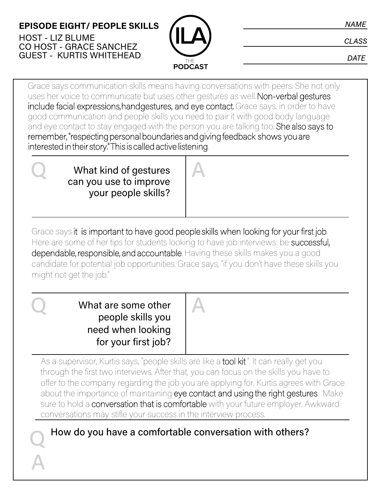#### **EPISODE EIGHT/ PEOPLE SKILLS** HOST - LIZ BLUME CO HOST - GRACE SANCHEZ GUEST - KURTIS WHITEHEAD



**NAME** 

**CLASS** 

**DATE** 

Grace says communication skills means having conversations with peers. She not only uses her voice to communicate but uses other gestures as well. Non-verbal gestures include facial expressions, hand gestures, and eye contact. Grace says, in order to have good communication and people skills you need to pair it with good body language and eye contact to stay engaged with the person you are talking too. She also says to remember, "respecting personal boundaries and giving feedback shows you are interested in their story." This is called active listening.

What kind of gestures can you use to improve your people skills? What kind of gestures A

Grace says it is important to have good people skills when looking for your first job. Here are some of her tips for students looking to have job interviews: be successful, dependable, responsible, and accountable. Having these skills makes you a good candidate for potential job opportunities. Grace says, "if you don't have these skills you might not get the job."

What are some other A What are some other people skills you need when looking for your first job?

Q

A

As a supervisor, Kurtis says, "people skills are like a tool kit". It can really get you through the first two interviews. After that, you can focus on the skills you have to offer to the company regarding the job you are applying for. Kurtis agrees with Grace about the importance of maintaining eye contact and using the right gestures. Make sure to hold a conversation that is comfortable with your future employer. Awkward conversations may stifle your success in the interview process.

How do you have a comfortable conversation with others?